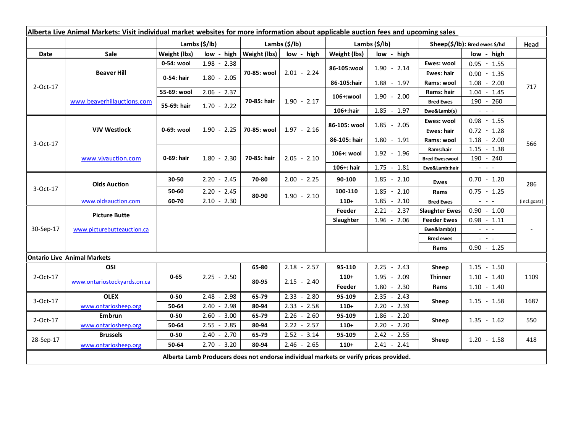| Alberta Live Animal Markets: Visit individual market websites for more information about applicable auction fees and upcoming sales |                                    |                                                      |               |                                             |                                                                                       |                                                         |                 |                               |                                                                                   |              |
|-------------------------------------------------------------------------------------------------------------------------------------|------------------------------------|------------------------------------------------------|---------------|---------------------------------------------|---------------------------------------------------------------------------------------|---------------------------------------------------------|-----------------|-------------------------------|-----------------------------------------------------------------------------------|--------------|
| <b>Date</b>                                                                                                                         | <b>Sale</b>                        | Lambs $(\frac{5}{lb})$<br>Weight (lbs)<br>low - high |               | Lambs (\$/lb)<br>Weight (lbs)<br>low - high |                                                                                       | Lambs $(\frac{2}{3})$ lb)<br>Weight (lbs)<br>low - high |                 | Sheep(\$/lb): Bred ewes \$/hd |                                                                                   | Head         |
| 2-Oct-17                                                                                                                            | <b>Beaver Hill</b>                 | 0-54: wool                                           | $1.98 - 2.38$ | 70-85: wool                                 | $2.01 - 2.24$                                                                         |                                                         | $1.90 - 2.14$   | Ewes: wool                    | low - high<br>$0.95 - 1.55$                                                       | 717          |
|                                                                                                                                     |                                    | 0-54: hair                                           |               |                                             |                                                                                       | 86-105:wool                                             |                 | Ewes: hair                    | $0.90 - 1.35$                                                                     |              |
|                                                                                                                                     |                                    |                                                      | $1.80 - 2.05$ |                                             |                                                                                       | 86-105:hair                                             | $1.88 - 1.97$   | Rams: wool                    | $1.08 - 2.00$                                                                     |              |
|                                                                                                                                     |                                    | 55-69: wool                                          | $2.06 - 2.37$ |                                             |                                                                                       |                                                         |                 | Rams: hair                    | $1.04 - 1.45$                                                                     |              |
|                                                                                                                                     | www.beaverhillauctions.com         | 55-69: hair                                          |               | 70-85: hair                                 | $1.90 - 2.17$                                                                         | 106+:wool                                               | $1.90 - 2.00$   | <b>Bred Ewes</b>              | 190 - 260                                                                         |              |
|                                                                                                                                     |                                    |                                                      | $1.70 - 2.22$ |                                             |                                                                                       | 106+:hair                                               | $1.85 - 1.97$   | Ewe&Lamb(s)                   | $\mathbb{Z}^2$ and $\mathbb{Z}^2$                                                 |              |
| 3-Oct-17                                                                                                                            | <b>VJV Westlock</b>                | 0-69: wool                                           |               | 70-85: wool                                 | $1.97 - 2.16$                                                                         | 86-105: wool                                            | $1.85 - 2.05$   | Ewes: wool                    | $0.98 - 1.55$                                                                     |              |
|                                                                                                                                     |                                    |                                                      | $1.90 - 2.25$ |                                             |                                                                                       |                                                         |                 | Ewes: hair                    | $0.72 - 1.28$                                                                     |              |
|                                                                                                                                     |                                    |                                                      |               |                                             |                                                                                       | 86-105: hair                                            | $1.80 - 1.91$   | Rams: wool                    | $1.18 - 2.00$                                                                     |              |
|                                                                                                                                     | www.vivauction.com                 | 0-69: hair                                           |               | 70-85: hair                                 | $2.05 - 2.10$                                                                         | 106+: wool                                              | $1.92 - 1.96$   | Rams:hair                     | $1.15 - 1.38$                                                                     | 566          |
|                                                                                                                                     |                                    |                                                      | $1.80 - 2.30$ |                                             |                                                                                       |                                                         |                 | <b>Bred Ewes:wool</b>         | 190 - 240                                                                         |              |
|                                                                                                                                     |                                    |                                                      |               |                                             |                                                                                       | 106+: hair                                              | $1.75 - 1.81$   | Ewe&Lamb:hair                 | $\frac{1}{2}$ and $\frac{1}{2}$                                                   |              |
| 3-Oct-17                                                                                                                            | <b>Olds Auction</b>                | 30-50                                                | $2.20 - 2.45$ | 70-80                                       | $2.00 - 2.25$                                                                         | 90-100                                                  | $1.85 - 2.10$   | Ewes                          | $0.70 - 1.20$                                                                     | 286          |
|                                                                                                                                     |                                    | 50-60                                                | $2.20 - 2.45$ | 80-90                                       | $1.90 - 2.10$                                                                         | 100-110                                                 | $1.85 - 2.10$   | Rams                          | $0.75 - 1.25$                                                                     |              |
|                                                                                                                                     | www.oldsauction.com                | 60-70                                                | $2.10 - 2.30$ |                                             |                                                                                       | $110+$                                                  | 1.85<br>$-2.10$ | <b>Bred Ewes</b>              | $\mathbb{Z}^2$ and $\mathbb{Z}^2$                                                 | (incl.goats) |
| 30-Sep-17                                                                                                                           | <b>Picture Butte</b>               |                                                      |               |                                             |                                                                                       | Feeder                                                  | $2.21 - 2.37$   | <b>Slaughter Ewes</b>         | $0.90 - 1.00$                                                                     |              |
|                                                                                                                                     |                                    |                                                      |               |                                             |                                                                                       | Slaughter                                               | $1.96 - 2.06$   | <b>Feeder Ewes</b>            | $0.98 - 1.11$                                                                     |              |
|                                                                                                                                     | www.picturebutteauction.ca         |                                                      |               |                                             |                                                                                       |                                                         |                 | Ewe&lamb(s)                   | $\omega_{\rm{eff}}$ and $\omega_{\rm{eff}}$                                       |              |
|                                                                                                                                     |                                    |                                                      |               |                                             |                                                                                       |                                                         |                 | <b>Bred ewes</b>              | $\frac{1}{2} \left( \frac{1}{2} \right) = \frac{1}{2} \left( \frac{1}{2} \right)$ |              |
|                                                                                                                                     |                                    |                                                      |               |                                             |                                                                                       |                                                         |                 | Rams                          | $0.90 - 1.25$                                                                     |              |
|                                                                                                                                     | <b>Ontario Live Animal Markets</b> |                                                      |               |                                             |                                                                                       |                                                         |                 |                               |                                                                                   |              |
| 2-Oct-17                                                                                                                            | OSI                                | $0 - 65$                                             | $2.25 - 2.50$ | 65-80                                       | $2.18 - 2.57$                                                                         | 95-110                                                  | 2.25<br>$-2.43$ | Sheep                         | $1.15 - 1.50$                                                                     | 1109         |
|                                                                                                                                     | www.ontariostockyards.on.ca        |                                                      |               | 80-95                                       | $2.15 - 2.40$                                                                         | $110+$                                                  | $1.95 - 2.09$   | Thinner                       | $1.10 - 1.40$                                                                     |              |
|                                                                                                                                     |                                    |                                                      |               |                                             |                                                                                       | Feeder                                                  | $1.80 - 2.30$   | Rams                          | $1.10 - 1.40$                                                                     |              |
| 3-Oct-17                                                                                                                            | <b>OLEX</b>                        | $0 - 50$                                             | $2.48 - 2.98$ | 65-79                                       | $2.33 - 2.80$                                                                         | 95-109                                                  | $2.35 - 2.43$   | Sheep                         | $1.15 - 1.58$                                                                     | 1687         |
|                                                                                                                                     | www.ontariosheep.org               | 50-64                                                | $2.40 - 2.98$ | 80-94                                       | $2.33 - 2.58$                                                                         | $110+$                                                  | $2.20 - 2.39$   |                               |                                                                                   |              |
| 2-Oct-17                                                                                                                            | <b>Embrun</b>                      | $0 - 50$                                             | $2.60 - 3.00$ | 65-79                                       | $2.26 - 2.60$                                                                         | 95-109                                                  | $1.86 - 2.20$   | Sheep                         | $1.35 - 1.62$                                                                     | 550          |
|                                                                                                                                     | www.ontariosheep.org               | 50-64                                                | $2.55 - 2.85$ | 80-94                                       | $2.22 - 2.57$                                                                         | $110+$                                                  | $2.20 - 2.20$   |                               |                                                                                   |              |
| 28-Sep-17                                                                                                                           | <b>Brussels</b>                    | $0 - 50$                                             | $2.40 - 2.70$ | 65-79                                       | $2.52 - 3.14$                                                                         | 95-109                                                  | $2.42 - 2.55$   | Sheep                         | $1.20 - 1.58$                                                                     | 418          |
|                                                                                                                                     | www.ontariosheep.org               | 50-64                                                | $2.70 - 3.20$ | 80-94                                       | $2.46 - 2.65$                                                                         | $110+$                                                  | $2.41 - 2.41$   |                               |                                                                                   |              |
|                                                                                                                                     |                                    |                                                      |               |                                             | Alberta Lamb Producers does not endorse individual markets or verify prices provided. |                                                         |                 |                               |                                                                                   |              |